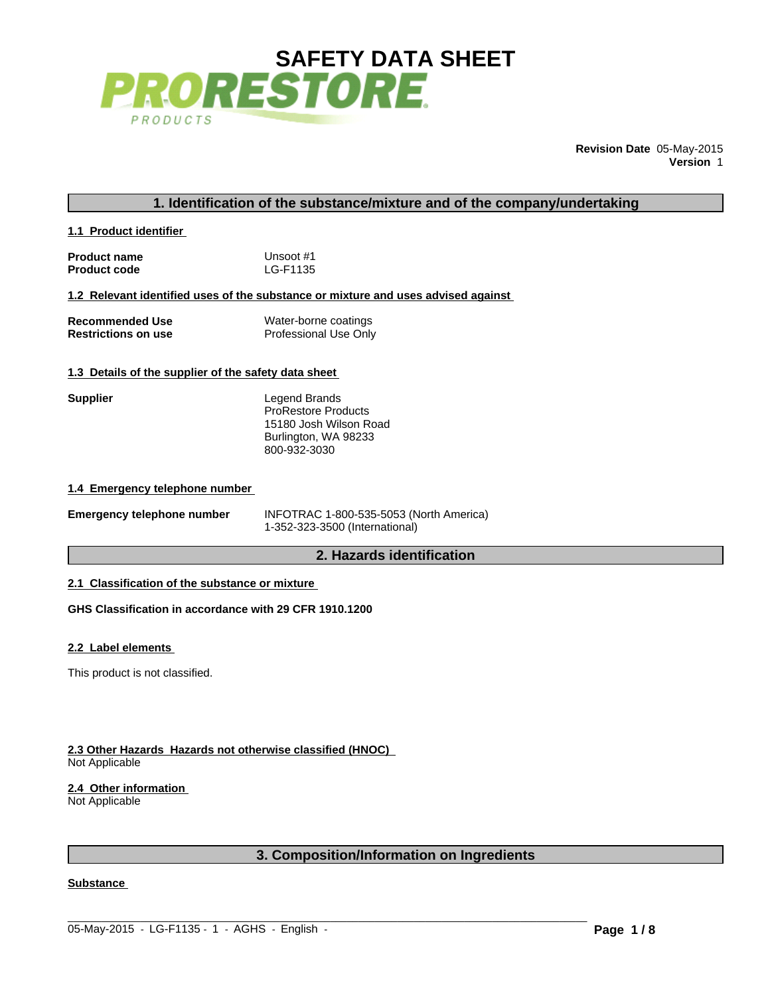

**Revision Date** 05-May-2015 **Version** 1

# **1. Identification of the substance/mixture and of the company/undertaking**

**1.1 Product identifier** 

| <b>Product name</b> | Unsoot #1 |
|---------------------|-----------|
| <b>Product code</b> | LG-F1135  |

**1.2 Relevant identified uses of the substance or mixture and uses advised against** 

| <b>Recommended Use</b>     | Water-borne coatings  |
|----------------------------|-----------------------|
| <b>Restrictions on use</b> | Professional Use Only |

# **1.3 Details of the supplier of the safety data sheet**

| Supplier | Legend Brands<br><b>ProRestore Products</b><br>15180 Josh Wilson Road<br>Burlington, WA 98233 |
|----------|-----------------------------------------------------------------------------------------------|
|          | 800-932-3030                                                                                  |

#### **1.4 Emergency telephone number**

| <b>Emergency telephone number</b> | INFOTRAC 1-800-535-5053 (North America) |
|-----------------------------------|-----------------------------------------|
|                                   | 1-352-323-3500 (International)          |

# **2. Hazards identification**

### **2.1 Classification of the substance or mixture**

**GHS Classification in accordance with 29 CFR 1910.1200**

#### **2.2 Label elements**

This product is not classified.

#### **2.3 Other Hazards Hazards not otherwise classified (HNOC)**  Not Applicable

## **2.4 Other information**

Not Applicable

# **3. Composition/Information on Ingredients**

 $\_$  ,  $\_$  ,  $\_$  ,  $\_$  ,  $\_$  ,  $\_$  ,  $\_$  ,  $\_$  ,  $\_$  ,  $\_$  ,  $\_$  ,  $\_$  ,  $\_$  ,  $\_$  ,  $\_$  ,  $\_$  ,  $\_$  ,  $\_$  ,  $\_$  ,  $\_$  ,  $\_$  ,  $\_$  ,  $\_$  ,  $\_$  ,  $\_$  ,  $\_$  ,  $\_$  ,  $\_$  ,  $\_$  ,  $\_$  ,  $\_$  ,  $\_$  ,  $\_$  ,  $\_$  ,  $\_$  ,  $\_$  ,  $\_$  ,

#### **Substance**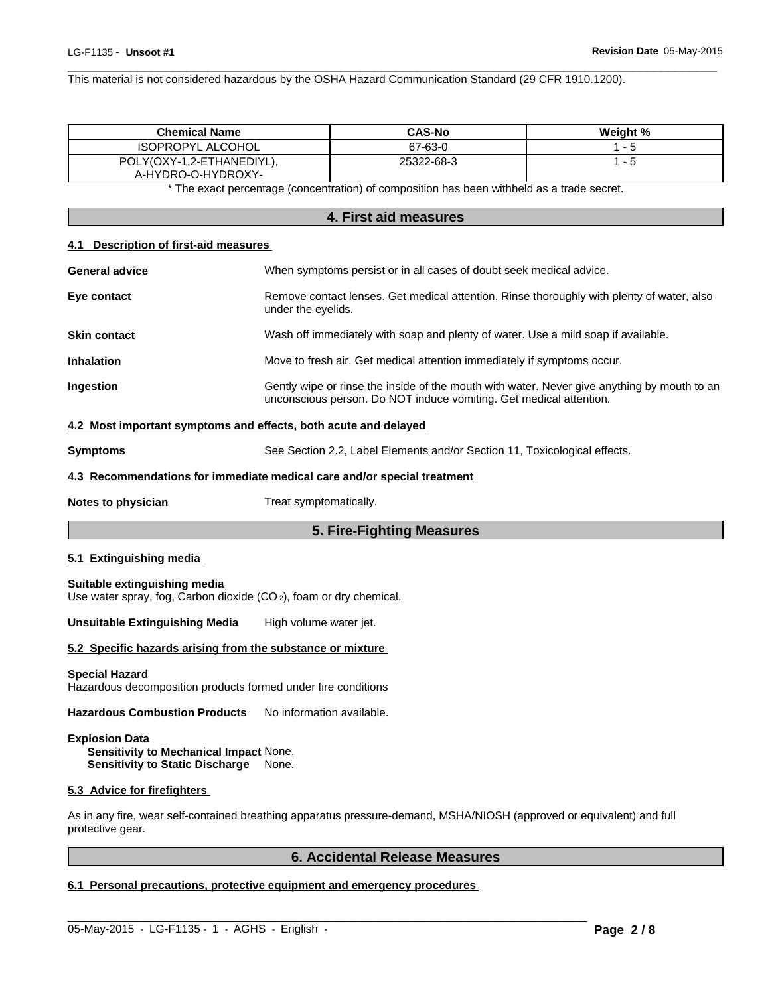$\overline{\phantom{a}}$  ,  $\overline{\phantom{a}}$  ,  $\overline{\phantom{a}}$  ,  $\overline{\phantom{a}}$  ,  $\overline{\phantom{a}}$  ,  $\overline{\phantom{a}}$  ,  $\overline{\phantom{a}}$  ,  $\overline{\phantom{a}}$  ,  $\overline{\phantom{a}}$  ,  $\overline{\phantom{a}}$  ,  $\overline{\phantom{a}}$  ,  $\overline{\phantom{a}}$  ,  $\overline{\phantom{a}}$  ,  $\overline{\phantom{a}}$  ,  $\overline{\phantom{a}}$  ,  $\overline{\phantom{a}}$ This material is not considered hazardous by the OSHA Hazard Communication Standard (29 CFR 1910.1200).

| <b>Chemical Name</b>                            | <b>CAS-No</b> | Weight % |
|-------------------------------------------------|---------------|----------|
| <b>ISOPROPYL ALCOHOL</b>                        | 67-63-0       |          |
| POLY(OXY-1,2-ETHANEDIYL),<br>A-HYDRO-O-HYDROXY- | 25322-68-3    |          |

\* The exact percentage (concentration) of composition has been withheld as a trade secret.

# **4. First aid measures**

#### **4.1 Description of first-aid measures**

| <b>General advice</b> | When symptoms persist or in all cases of doubt seek medical advice.                                                                                               |
|-----------------------|-------------------------------------------------------------------------------------------------------------------------------------------------------------------|
| Eye contact           | Remove contact lenses. Get medical attention. Rinse thoroughly with plenty of water, also<br>under the eyelids.                                                   |
| <b>Skin contact</b>   | Wash off immediately with soap and plenty of water. Use a mild soap if available.                                                                                 |
| <b>Inhalation</b>     | Move to fresh air. Get medical attention immediately if symptoms occur.                                                                                           |
| <b>Ingestion</b>      | Gently wipe or rinse the inside of the mouth with water. Never give anything by mouth to an<br>unconscious person. Do NOT induce vomiting. Get medical attention. |
|                       | 4.2 Most important symptoms and effects, both acute and delayed                                                                                                   |

## **4.2 Most important symptoms and effects, both acute and delayed**

| <b>Symptoms</b> | See Section 2.2, Label Elements and/or Section 11, Toxicological effects. |
|-----------------|---------------------------------------------------------------------------|
|                 |                                                                           |

## **4.3 Recommendations for immediate medical care and/or special treatment**

**Notes to physician** Treat symptomatically.

## **5. Fire-Fighting Measures**

#### **5.1 Extinguishing media**

#### **Suitable extinguishing media**

Use water spray, fog, Carbon dioxide (CO 2), foam or dry chemical.

**Unsuitable Extinguishing Media** High volume water jet.

#### **5.2 Specific hazards arising from the substance or mixture**

**Special Hazard** Hazardous decomposition products formed under fire conditions

Hazardous Combustion Products No information available.

# **Explosion Data**

**Sensitivity to Mechanical Impact** None. **Sensitivity to Static Discharge** None.

#### **5.3 Advice for firefighters**

As in any fire, wear self-contained breathing apparatus pressure-demand, MSHA/NIOSH (approved or equivalent) and full protective gear.

 $\_$  ,  $\_$  ,  $\_$  ,  $\_$  ,  $\_$  ,  $\_$  ,  $\_$  ,  $\_$  ,  $\_$  ,  $\_$  ,  $\_$  ,  $\_$  ,  $\_$  ,  $\_$  ,  $\_$  ,  $\_$  ,  $\_$  ,  $\_$  ,  $\_$  ,  $\_$  ,  $\_$  ,  $\_$  ,  $\_$  ,  $\_$  ,  $\_$  ,  $\_$  ,  $\_$  ,  $\_$  ,  $\_$  ,  $\_$  ,  $\_$  ,  $\_$  ,  $\_$  ,  $\_$  ,  $\_$  ,  $\_$  ,  $\_$  ,

# **6. Accidental Release Measures**

# **6.1 Personal precautions, protective equipment and emergency procedures**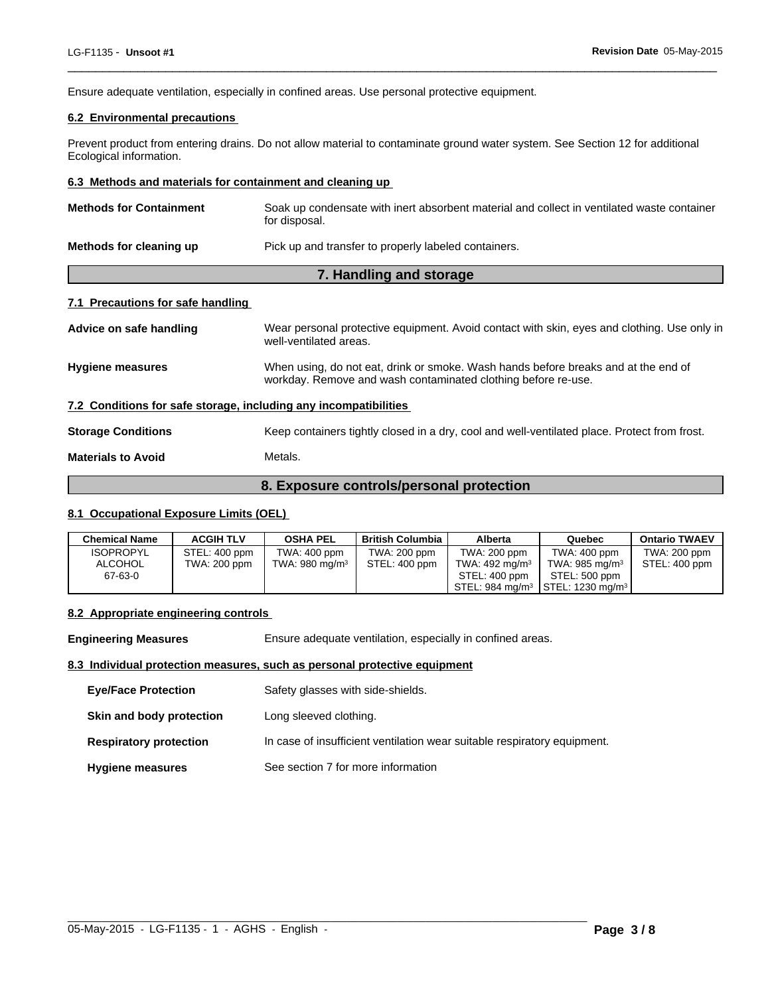Ensure adequate ventilation, especially in confined areas. Use personal protective equipment.

# **6.2 Environmental precautions**

Prevent product from entering drains. Do not allow material to contaminate ground water system. See Section 12 for additional Ecological information.

 $\overline{\phantom{a}}$  ,  $\overline{\phantom{a}}$  ,  $\overline{\phantom{a}}$  ,  $\overline{\phantom{a}}$  ,  $\overline{\phantom{a}}$  ,  $\overline{\phantom{a}}$  ,  $\overline{\phantom{a}}$  ,  $\overline{\phantom{a}}$  ,  $\overline{\phantom{a}}$  ,  $\overline{\phantom{a}}$  ,  $\overline{\phantom{a}}$  ,  $\overline{\phantom{a}}$  ,  $\overline{\phantom{a}}$  ,  $\overline{\phantom{a}}$  ,  $\overline{\phantom{a}}$  ,  $\overline{\phantom{a}}$ 

#### **6.3 Methods and materials for containment and cleaning up**

| <b>Methods for Containment</b>    | Soak up condensate with inert absorbent material and collect in ventilated waste container<br>for disposal.                                         |  |  |
|-----------------------------------|-----------------------------------------------------------------------------------------------------------------------------------------------------|--|--|
| Methods for cleaning up           | Pick up and transfer to properly labeled containers.                                                                                                |  |  |
| 7. Handling and storage           |                                                                                                                                                     |  |  |
| 7.1 Precautions for safe handling |                                                                                                                                                     |  |  |
| Advice on safe handling           | Wear personal protective equipment. Avoid contact with skin, eyes and clothing. Use only in<br>well-ventilated areas.                               |  |  |
| <b>Hygiene measures</b>           | When using, do not eat, drink or smoke. Wash hands before breaks and at the end of<br>workday. Remove and wash contaminated clothing before re-use. |  |  |

**7.2 Conditions for safe storage, including any incompatibilities** 

**Storage Conditions** Keep containers tightly closed in a dry, cool and well-ventilated place. Protect from frost.

**Materials to Avoid** Metals.

# **8. Exposure controls/personal protection**

#### **8.1 Occupational Exposure Limits (OEL)**

| <b>Chemical Name</b> | <b>ACGIH TLV</b> | <b>OSHA PEL</b>            | <b>British Columbia</b> | Alberta           | Quebec                                                          | <b>Ontario TWAEV</b> |
|----------------------|------------------|----------------------------|-------------------------|-------------------|-----------------------------------------------------------------|----------------------|
| <b>ISOPROPYL</b>     | STEL: 400 ppm    | TWA: 400 ppm               | TWA: 200 ppm            | TWA: 200 ppm      | TWA: 400 ppm                                                    | TWA: 200 ppm         |
| ALCOHOL              | TWA: 200 ppm     | TWA: 980 mg/m <sup>3</sup> | STEL: 400 ppm           | TWA: 492 mg/m $3$ | TWA: 985 mg/m $3$                                               | STEL: 400 ppm        |
| 67-63-0              |                  |                            |                         | STEL: 400 ppm     | STEL: 500 ppm                                                   |                      |
|                      |                  |                            |                         |                   | $\text{STEL: } 984 \text{ mg/m}^3$ STEL: 1230 mg/m <sup>3</sup> |                      |

#### **8.2 Appropriate engineering controls**

**Engineering Measures** Ensure adequate ventilation, especially in confined areas.

#### **8.3 Individual protection measures, such as personal protective equipment**

| <b>Eve/Face Protection</b>    | Safety glasses with side-shields.                                        |
|-------------------------------|--------------------------------------------------------------------------|
| Skin and body protection      | Long sleeved clothing.                                                   |
| <b>Respiratory protection</b> | In case of insufficient ventilation wear suitable respiratory equipment. |
| <b>Hygiene measures</b>       | See section 7 for more information                                       |

 $\_$  ,  $\_$  ,  $\_$  ,  $\_$  ,  $\_$  ,  $\_$  ,  $\_$  ,  $\_$  ,  $\_$  ,  $\_$  ,  $\_$  ,  $\_$  ,  $\_$  ,  $\_$  ,  $\_$  ,  $\_$  ,  $\_$  ,  $\_$  ,  $\_$  ,  $\_$  ,  $\_$  ,  $\_$  ,  $\_$  ,  $\_$  ,  $\_$  ,  $\_$  ,  $\_$  ,  $\_$  ,  $\_$  ,  $\_$  ,  $\_$  ,  $\_$  ,  $\_$  ,  $\_$  ,  $\_$  ,  $\_$  ,  $\_$  ,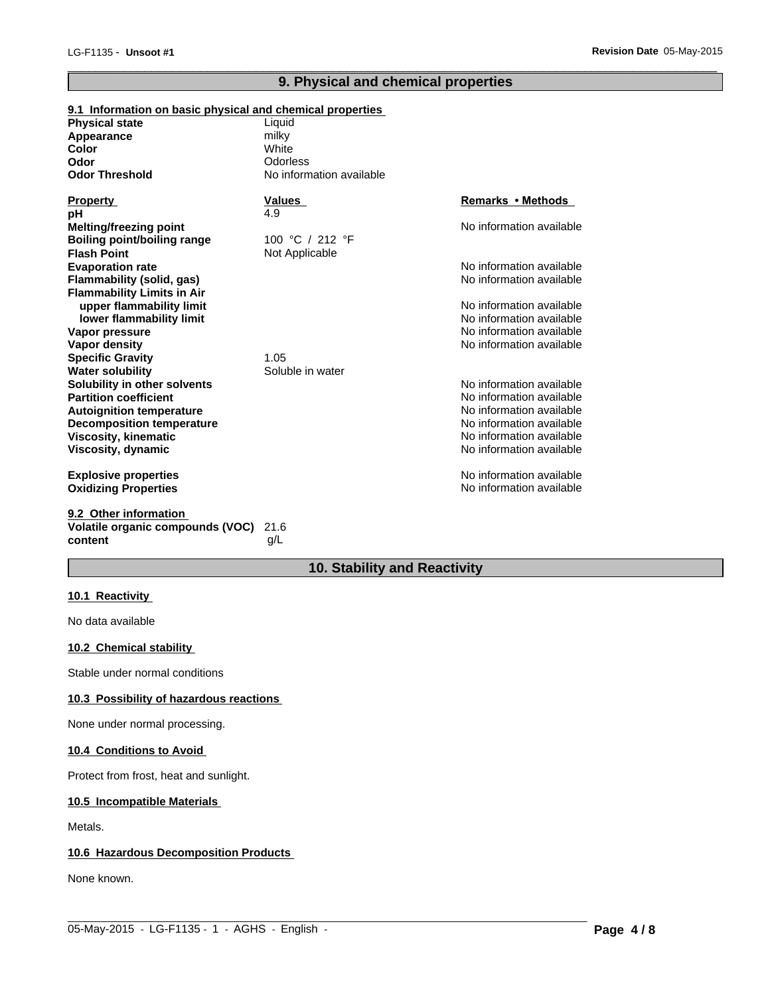# **9. Physical and chemical properties**

 $\overline{\phantom{a}}$  ,  $\overline{\phantom{a}}$  ,  $\overline{\phantom{a}}$  ,  $\overline{\phantom{a}}$  ,  $\overline{\phantom{a}}$  ,  $\overline{\phantom{a}}$  ,  $\overline{\phantom{a}}$  ,  $\overline{\phantom{a}}$  ,  $\overline{\phantom{a}}$  ,  $\overline{\phantom{a}}$  ,  $\overline{\phantom{a}}$  ,  $\overline{\phantom{a}}$  ,  $\overline{\phantom{a}}$  ,  $\overline{\phantom{a}}$  ,  $\overline{\phantom{a}}$  ,  $\overline{\phantom{a}}$ 

| 9.1 Information on basic physical and chemical properties |                          |                          |
|-----------------------------------------------------------|--------------------------|--------------------------|
| <b>Physical state</b>                                     | Liquid                   |                          |
| Appearance                                                | milky                    |                          |
| <b>Color</b>                                              | White                    |                          |
| Odor                                                      | <b>Odorless</b>          |                          |
| <b>Odor Threshold</b>                                     | No information available |                          |
| <b>Property</b>                                           | <b>Values</b>            | <b>Remarks • Methods</b> |
| рH                                                        | 4.9                      |                          |
| <b>Melting/freezing point</b>                             |                          | No information available |
| <b>Boiling point/boiling range</b>                        | 100 °C / 212 °F          |                          |
| <b>Flash Point</b>                                        | Not Applicable           |                          |
| <b>Evaporation rate</b>                                   |                          | No information available |
| <b>Flammability (solid, gas)</b>                          |                          | No information available |
| <b>Flammability Limits in Air</b>                         |                          |                          |
| upper flammability limit                                  |                          | No information available |
| lower flammability limit                                  |                          | No information available |
| Vapor pressure                                            |                          | No information available |
| <b>Vapor density</b>                                      |                          | No information available |
| <b>Specific Gravity</b>                                   | 1.05                     |                          |
| <b>Water solubility</b>                                   | Soluble in water         |                          |
| Solubility in other solvents                              |                          | No information available |
| <b>Partition coefficient</b>                              |                          | No information available |
| <b>Autoignition temperature</b>                           |                          | No information available |
| <b>Decomposition temperature</b>                          |                          | No information available |
| <b>Viscosity, kinematic</b>                               |                          | No information available |
| Viscosity, dynamic                                        |                          | No information available |
| <b>Explosive properties</b>                               |                          | No information available |
| <b>Oxidizing Properties</b>                               |                          | No information available |
| 9.2 Other information                                     |                          |                          |
| Volatile organic compounds (VOC)                          | 21.6                     |                          |
| content                                                   | a/L                      |                          |

g/L

# **10. Stability and Reactivity**

 $\_$  ,  $\_$  ,  $\_$  ,  $\_$  ,  $\_$  ,  $\_$  ,  $\_$  ,  $\_$  ,  $\_$  ,  $\_$  ,  $\_$  ,  $\_$  ,  $\_$  ,  $\_$  ,  $\_$  ,  $\_$  ,  $\_$  ,  $\_$  ,  $\_$  ,  $\_$  ,  $\_$  ,  $\_$  ,  $\_$  ,  $\_$  ,  $\_$  ,  $\_$  ,  $\_$  ,  $\_$  ,  $\_$  ,  $\_$  ,  $\_$  ,  $\_$  ,  $\_$  ,  $\_$  ,  $\_$  ,  $\_$  ,  $\_$  ,

# **10.1 Reactivity**

No data available

# **10.2 Chemical stability**

Stable under normal conditions

# **10.3 Possibility of hazardous reactions**

None under normal processing.

# **10.4 Conditions to Avoid**

Protect from frost, heat and sunlight.

# **10.5 Incompatible Materials**

Metals.

# **10.6 Hazardous Decomposition Products**

None known.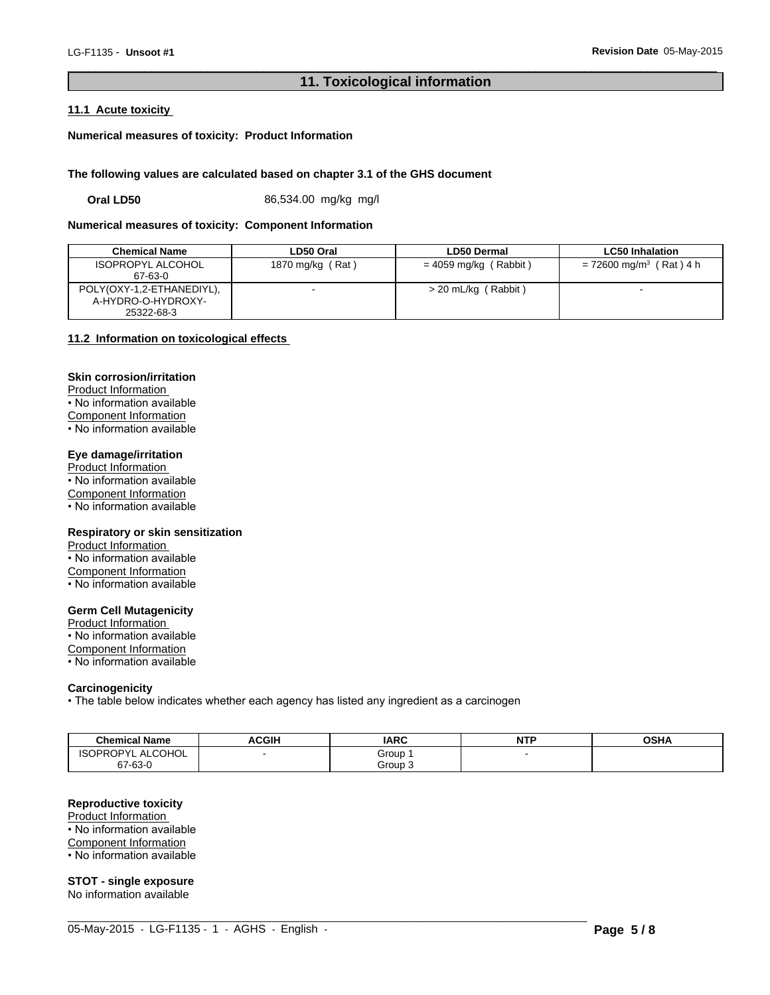# **11. Toxicological information**

 $\overline{\phantom{a}}$  ,  $\overline{\phantom{a}}$  ,  $\overline{\phantom{a}}$  ,  $\overline{\phantom{a}}$  ,  $\overline{\phantom{a}}$  ,  $\overline{\phantom{a}}$  ,  $\overline{\phantom{a}}$  ,  $\overline{\phantom{a}}$  ,  $\overline{\phantom{a}}$  ,  $\overline{\phantom{a}}$  ,  $\overline{\phantom{a}}$  ,  $\overline{\phantom{a}}$  ,  $\overline{\phantom{a}}$  ,  $\overline{\phantom{a}}$  ,  $\overline{\phantom{a}}$  ,  $\overline{\phantom{a}}$ 

#### **11.1 Acute toxicity**

**Numerical measures of toxicity: Product Information**

#### **The following values are calculated based on chapter 3.1 of the GHS document**

**Oral LD50** 86,534.00 mg/kg mg/l

#### **Numerical measures of toxicity: Component Information**

| <b>Chemical Name</b>                                          | LD50 Oral        | LD50 Dermal             | <b>LC50 Inhalation</b>                |
|---------------------------------------------------------------|------------------|-------------------------|---------------------------------------|
| <b>ISOPROPYL ALCOHOL</b><br>67-63-0                           | 1870 mg/kg (Rat) | $= 4059$ mg/kg (Rabbit) | $= 72600$ mg/m <sup>3</sup> (Rat) 4 h |
| POLY(OXY-1,2-ETHANEDIYL),<br>A-HYDRO-O-HYDROXY-<br>25322-68-3 |                  | $>$ 20 mL/kg (Rabbit)   |                                       |

## **11.2 Information on toxicological effects**

# **Skin corrosion/irritation**

Product Information • No information available Component Information  $\overline{\cdot}$  No information available

# **Eye damage/irritation**

Product Information • No information available Component Information • No information available

## **Respiratory or skin sensitization**

Product Information • No information available Component Information • No information available

#### **Germ Cell Mutagenicity**

Product Information • No information available Component Information • No information available

#### **Carcinogenicity**

• The table below indicates whether each agency has listed any ingredient as a carcinogen

| <b>Chemical Name</b>          | <b>ACGIH</b> | <b>IARC</b> | <b>NTP</b> | <b>OCUA</b><br>JJNA |
|-------------------------------|--------------|-------------|------------|---------------------|
| ALCOHOL '<br><b>ISOPROPYL</b> |              | Group       |            |                     |
| 67-63-0                       |              | Group 3     |            |                     |

 $\_$  ,  $\_$  ,  $\_$  ,  $\_$  ,  $\_$  ,  $\_$  ,  $\_$  ,  $\_$  ,  $\_$  ,  $\_$  ,  $\_$  ,  $\_$  ,  $\_$  ,  $\_$  ,  $\_$  ,  $\_$  ,  $\_$  ,  $\_$  ,  $\_$  ,  $\_$  ,  $\_$  ,  $\_$  ,  $\_$  ,  $\_$  ,  $\_$  ,  $\_$  ,  $\_$  ,  $\_$  ,  $\_$  ,  $\_$  ,  $\_$  ,  $\_$  ,  $\_$  ,  $\_$  ,  $\_$  ,  $\_$  ,  $\_$  ,

## **Reproductive toxicity**

Product Information • No information available

Component Information

• No information available

**STOT - single exposure**

No information available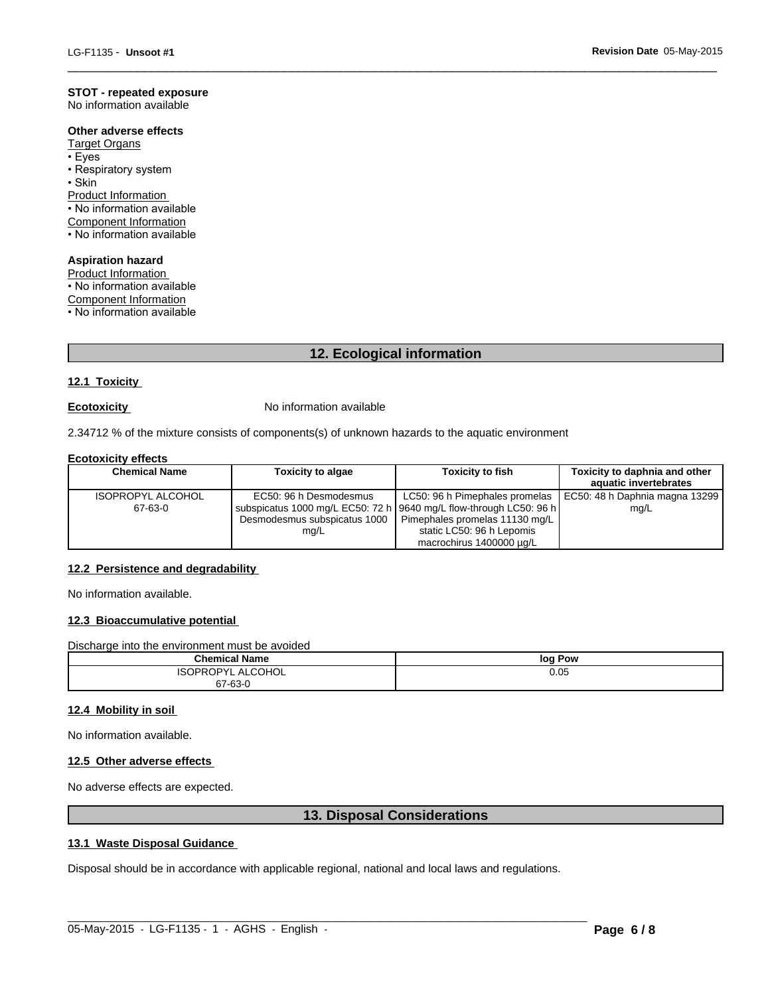## **STOT - repeated exposure**

No information available

## **Other adverse effects**

Target Organs

- •Eyes
- Respiratory system

• Skin **between the contract of the contract of the contract of the contract of the contract of the contract of the contract of the contract of the contract of the contract of the contract of the contract of the contract o** 

Product Information

• No information available

Component Information

• No information available

#### **Aspiration hazard**

Product Information • No information available Component Information

• No information available

# **12. Ecological information**

 $\overline{\phantom{a}}$  ,  $\overline{\phantom{a}}$  ,  $\overline{\phantom{a}}$  ,  $\overline{\phantom{a}}$  ,  $\overline{\phantom{a}}$  ,  $\overline{\phantom{a}}$  ,  $\overline{\phantom{a}}$  ,  $\overline{\phantom{a}}$  ,  $\overline{\phantom{a}}$  ,  $\overline{\phantom{a}}$  ,  $\overline{\phantom{a}}$  ,  $\overline{\phantom{a}}$  ,  $\overline{\phantom{a}}$  ,  $\overline{\phantom{a}}$  ,  $\overline{\phantom{a}}$  ,  $\overline{\phantom{a}}$ 

### **12.1 Toxicity**

**Ecotoxicity No information available** 

2.34712 % of the mixture consists of components(s) of unknown hazards to the aquatic environment

# **Ecotoxicity effects**

| <b>Chemical Name</b>     | <b>Toxicity to algae</b> | <b>Toxicity to fish</b>                                              | Toxicity to daphnia and other<br>aquatic invertebrates          |
|--------------------------|--------------------------|----------------------------------------------------------------------|-----------------------------------------------------------------|
| <b>ISOPROPYL ALCOHOL</b> | EC50: 96 h Desmodesmus   |                                                                      | LC50: 96 h Pimephales promelas   EC50: 48 h Daphnia magna 13299 |
| 67-63-0                  |                          | subspicatus 1000 mg/L EC50: 72 h   9640 mg/L flow-through LC50: 96 h | mg/L                                                            |
|                          |                          | Desmodesmus subspicatus 1000   Pimephales promelas 11130 mg/L        |                                                                 |
|                          | mg/L                     | static LC50: 96 h Lepomis                                            |                                                                 |
|                          |                          | macrochirus 1400000 µg/L                                             |                                                                 |

#### **12.2 Persistence and degradability**

No information available.

# **12.3 Bioaccumulative potential**

Discharge into the environment must be avoided

| <b>Chemical Name</b>  | loq<br>Pow |
|-----------------------|------------|
| ALCOHOL<br>∨טו<br>. . | 0.05       |
| 67-63-0               |            |

#### **12.4 Mobility in soil**

No information available.

#### **12.5 Other adverse effects**

No adverse effects are expected.

# **13. Disposal Considerations**

 $\_$  ,  $\_$  ,  $\_$  ,  $\_$  ,  $\_$  ,  $\_$  ,  $\_$  ,  $\_$  ,  $\_$  ,  $\_$  ,  $\_$  ,  $\_$  ,  $\_$  ,  $\_$  ,  $\_$  ,  $\_$  ,  $\_$  ,  $\_$  ,  $\_$  ,  $\_$  ,  $\_$  ,  $\_$  ,  $\_$  ,  $\_$  ,  $\_$  ,  $\_$  ,  $\_$  ,  $\_$  ,  $\_$  ,  $\_$  ,  $\_$  ,  $\_$  ,  $\_$  ,  $\_$  ,  $\_$  ,  $\_$  ,  $\_$  ,

# **13.1 Waste Disposal Guidance**

Disposal should be in accordance with applicable regional, national and local laws and regulations.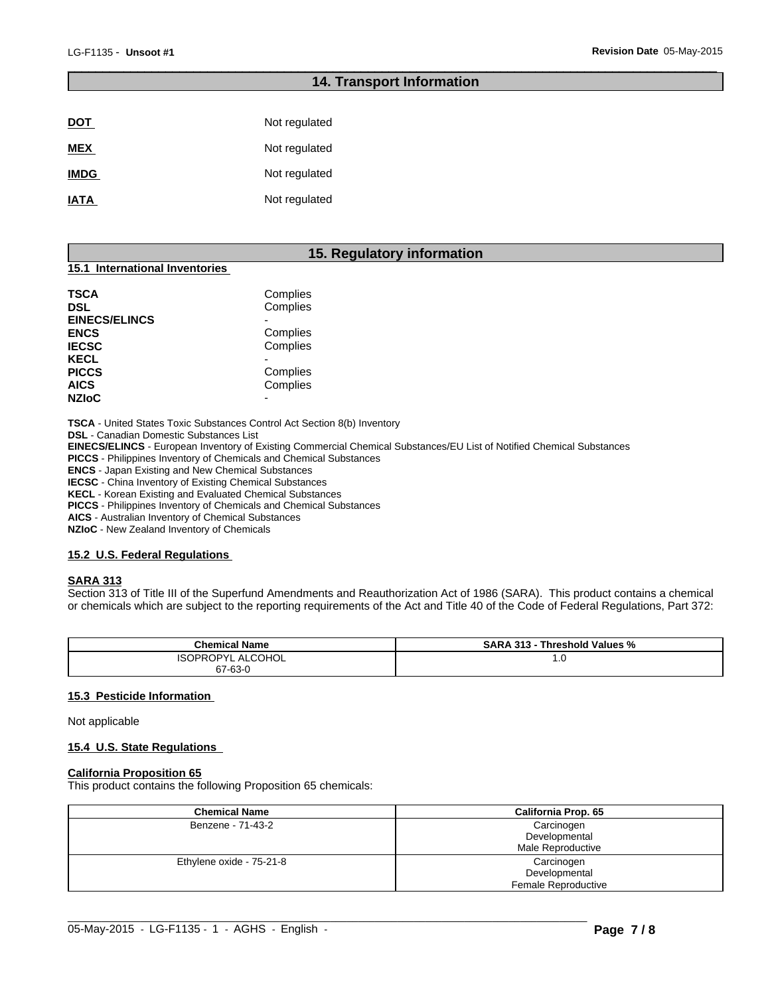# **14. Transport Information**

 $\overline{\phantom{a}}$  ,  $\overline{\phantom{a}}$  ,  $\overline{\phantom{a}}$  ,  $\overline{\phantom{a}}$  ,  $\overline{\phantom{a}}$  ,  $\overline{\phantom{a}}$  ,  $\overline{\phantom{a}}$  ,  $\overline{\phantom{a}}$  ,  $\overline{\phantom{a}}$  ,  $\overline{\phantom{a}}$  ,  $\overline{\phantom{a}}$  ,  $\overline{\phantom{a}}$  ,  $\overline{\phantom{a}}$  ,  $\overline{\phantom{a}}$  ,  $\overline{\phantom{a}}$  ,  $\overline{\phantom{a}}$ 

| <b>DOT</b>  | Not regulated |
|-------------|---------------|
| <b>MEX</b>  | Not regulated |
| <b>IMDG</b> | Not regulated |
| <b>IATA</b> | Not regulated |

# **15. Regulatory information**

#### **15.1 International Inventories**

| TSCA<br>DSL                 | Complies<br>Complies |  |
|-----------------------------|----------------------|--|
| <b>EINECS/ELINCS</b>        |                      |  |
| <b>ENCS</b>                 | Complies             |  |
| <b>IECSC</b><br><b>KECL</b> | Complies             |  |
|                             |                      |  |
| <b>PICCS</b>                | Complies             |  |
| <b>AICS</b>                 | Complies             |  |
| <b>NZIoC</b>                | -                    |  |

**TSCA** - United States Toxic Substances Control Act Section 8(b) Inventory

**DSL** - Canadian Domestic Substances List

**EINECS/ELINCS** - European Inventory of Existing Commercial Chemical Substances/EU List of Notified Chemical Substances

**PICCS** - Philippines Inventory of Chemicals and Chemical Substances

**ENCS** - Japan Existing and New Chemical Substances

**IECSC** - China Inventory of Existing Chemical Substances

**KECL** - Korean Existing and Evaluated Chemical Substances

**PICCS** - Philippines Inventory of Chemicals and Chemical Substances

**AICS** - Australian Inventory of Chemical Substances

**NZIoC** - New Zealand Inventory of Chemicals

#### **15.2 U.S. Federal Regulations**

#### **SARA 313**

Section 313 of Title III of the Superfund Amendments and Reauthorization Act of 1986 (SARA). This product contains a chemical or chemicals which are subject to the reporting requirements of the Act and Title 40 of the Code of Federal Regulations, Part 372:

| <b>Chemical Name</b> | <b>SARA</b><br>Threshold Values %<br>242<br>. .<br>دره |
|----------------------|--------------------------------------------------------|
| ALCOHOL<br>. IPV'    | <b>U.U</b>                                             |
| 67-63-0              |                                                        |

#### **15.3 Pesticide Information**

Not applicable

#### **15.4 U.S. State Regulations**

#### **California Proposition 65**

This product contains the following Proposition 65 chemicals:

| <b>Chemical Name</b>     | <b>California Prop. 65</b>                         |
|--------------------------|----------------------------------------------------|
| Benzene - 71-43-2        | Carcinogen<br>Developmental<br>Male Reproductive   |
| Ethylene oxide - 75-21-8 | Carcinogen<br>Developmental<br>Female Reproductive |

 $\_$  ,  $\_$  ,  $\_$  ,  $\_$  ,  $\_$  ,  $\_$  ,  $\_$  ,  $\_$  ,  $\_$  ,  $\_$  ,  $\_$  ,  $\_$  ,  $\_$  ,  $\_$  ,  $\_$  ,  $\_$  ,  $\_$  ,  $\_$  ,  $\_$  ,  $\_$  ,  $\_$  ,  $\_$  ,  $\_$  ,  $\_$  ,  $\_$  ,  $\_$  ,  $\_$  ,  $\_$  ,  $\_$  ,  $\_$  ,  $\_$  ,  $\_$  ,  $\_$  ,  $\_$  ,  $\_$  ,  $\_$  ,  $\_$  ,